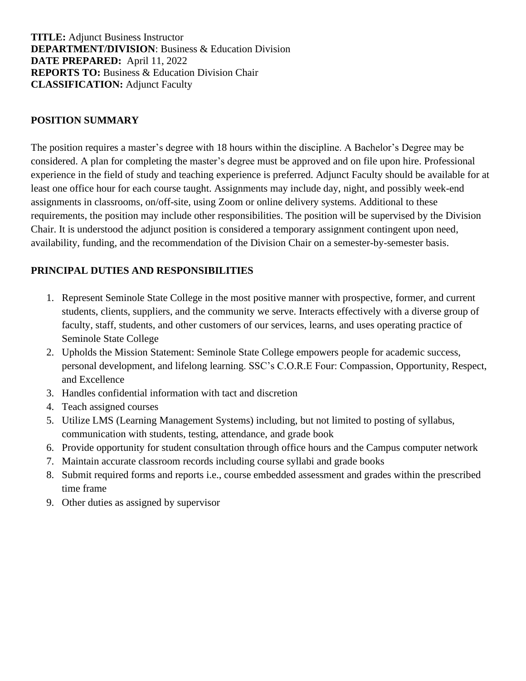**TITLE:** Adjunct Business Instructor **DEPARTMENT/DIVISION**: Business & Education Division **DATE PREPARED:** April 11, 2022 **REPORTS TO:** Business & Education Division Chair **CLASSIFICATION:** Adjunct Faculty

## **POSITION SUMMARY**

The position requires a master's degree with 18 hours within the discipline. A Bachelor's Degree may be considered. A plan for completing the master's degree must be approved and on file upon hire. Professional experience in the field of study and teaching experience is preferred. Adjunct Faculty should be available for at least one office hour for each course taught. Assignments may include day, night, and possibly week-end assignments in classrooms, on/off-site, using Zoom or online delivery systems. Additional to these requirements, the position may include other responsibilities. The position will be supervised by the Division Chair. It is understood the adjunct position is considered a temporary assignment contingent upon need, availability, funding, and the recommendation of the Division Chair on a semester-by-semester basis.

## **PRINCIPAL DUTIES AND RESPONSIBILITIES**

- 1. Represent Seminole State College in the most positive manner with prospective, former, and current students, clients, suppliers, and the community we serve. Interacts effectively with a diverse group of faculty, staff, students, and other customers of our services, learns, and uses operating practice of Seminole State College
- 2. Upholds the Mission Statement: Seminole State College empowers people for academic success, personal development, and lifelong learning. SSC's C.O.R.E Four: Compassion, Opportunity, Respect, and Excellence
- 3. Handles confidential information with tact and discretion
- 4. Teach assigned courses
- 5. Utilize LMS (Learning Management Systems) including, but not limited to posting of syllabus, communication with students, testing, attendance, and grade book
- 6. Provide opportunity for student consultation through office hours and the Campus computer network
- 7. Maintain accurate classroom records including course syllabi and grade books
- 8. Submit required forms and reports i.e., course embedded assessment and grades within the prescribed time frame
- 9. Other duties as assigned by supervisor